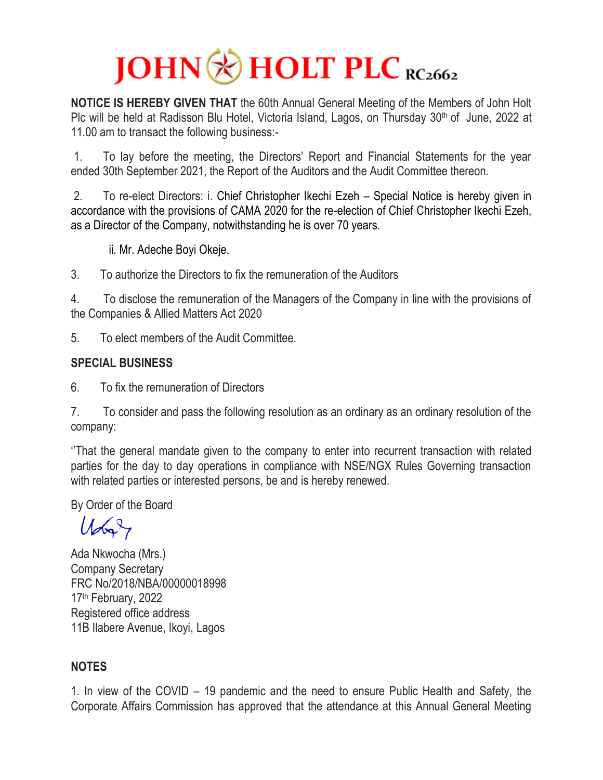## $JOHN$  HOLT PLC RC2662

**NOTICE IS HEREBY GIVEN THAT** the 60th Annual General Meeting of the Members of John Holt Plc will be held at Radisson Blu Hotel, Victoria Island, Lagos, on Thursday 30<sup>th</sup> of June, 2022 at 11.00 am to transact the following business:-

1. To lay before the meeting, the Directors' Report and Financial Statements for the year ended 30th September 2021, the Report of the Auditors and the Audit Committee thereon.

2. To re-elect Directors: i. Chief Christopher Ikechi Ezeh – Special Notice is hereby given in accordance with the provisions of CAMA 2020 for the re-election of Chief Christopher Ikechi Ezeh, as a Director of the Company, notwithstanding he is over 70 years.

ii. Mr. Adeche Boyi Okeje.

3. To authorize the Directors to fix the remuneration of the Auditors

4. To disclose the remuneration of the Managers of the Company in line with the provisions of the Companies & Allied Matters Act 2020

5. To elect members of the Audit Committee.

## **SPECIAL BUSINESS**

6. To fix the remuneration of Directors

7. To consider and pass the following resolution as an ordinary as an ordinary resolution of the company:

''That the general mandate given to the company to enter into recurrent transaction with related parties for the day to day operations in compliance with NSE/NGX Rules Governing transaction with related parties or interested persons, be and is hereby renewed.

By Order of the Board

 $U_{\infty}$ 

Ada Nkwocha (Mrs.) Company Secretary FRC No/2018/NBA/00000018998 17<sup>th</sup> February, 2022 Registered office address 11B Ilabere Avenue, Ikoyi, Lagos

## **NOTES**

1. In view of the COVID – 19 pandemic and the need to ensure Public Health and Safety, the Corporate Affairs Commission has approved that the attendance at this Annual General Meeting